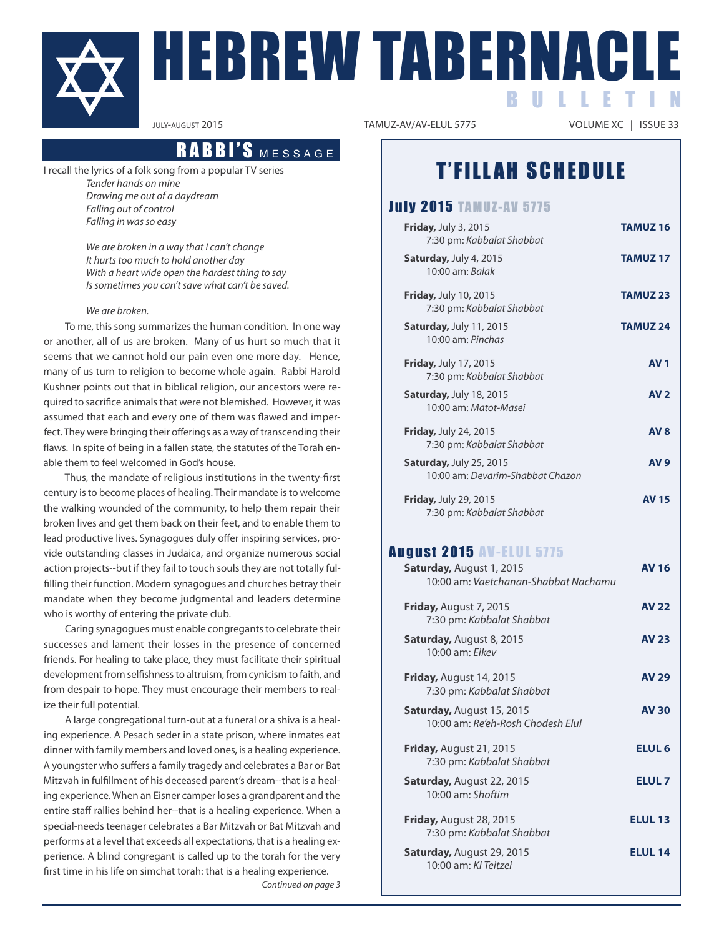

# HEBREW TABERNAC B U L L E T I N

## **Message**

I recall the lyrics of a folk song from a popular TV series Tender hands on mine Drawing me out of a daydream Falling out of control Falling in was so easy

> We are broken in a way that I can't change It hurts too much to hold another day With a heart wide open the hardest thing to say Is sometimes you can't save what can't be saved.

### We are broken.

To me, this song summarizes the human condition. In one way or another, all of us are broken. Many of us hurt so much that it seems that we cannot hold our pain even one more day. Hence, many of us turn to religion to become whole again. Rabbi Harold Kushner points out that in biblical religion, our ancestors were required to sacrifice animals that were not blemished. However, it was assumed that each and every one of them was flawed and imperfect. They were bringing their offerings as a way of transcending their flaws. In spite of being in a fallen state, the statutes of the Torah enable them to feel welcomed in God's house.

thus, the mandate of religious institutions in the twenty-first century is to become places of healing. Their mandate is to welcome the walking wounded of the community, to help them repair their broken lives and get them back on their feet, and to enable them to lead productive lives. synagogues duly offer inspiring services, provide outstanding classes in Judaica, and organize numerous social action projects--but if they fail to touch souls they are not totally fulfilling their function. Modern synagogues and churches betray their mandate when they become judgmental and leaders determine who is worthy of entering the private club.

Caring synagogues must enable congregants to celebrate their successes and lament their losses in the presence of concerned friends. For healing to take place, they must facilitate their spiritual development from selfishness to altruism, from cynicism to faith, and from despair to hope. They must encourage their members to realize their full potential.

A large congregational turn-out at a funeral or a shiva is a healing experience. A Pesach seder in a state prison, where inmates eat dinner with family members and loved ones, is a healing experience. A youngster who suffers a family tragedy and celebrates a Bar or Bat Mitzvah in fulfillment of his deceased parent's dream--that is a healing experience. When an Eisner camper loses a grandparent and the entire staff rallies behind her--that is a healing experience. When a special-needs teenager celebrates a Bar Mitzvah or Bat Mitzvah and performs at a level that exceeds all expectations, that is a healing experience. A blind congregant is called up to the torah for the very first time in his life on simchat torah: that is a healing experience.

Continued on page 3

VOLUME XC | ISSUE 33

## **T'FILLAH SCHEDULE**

### **July 2015 TAMUZ-AV 5775**

| <b>Friday, July 3, 2015</b><br>7:30 pm: Kabbalat Shabbat           | <b>TAMUZ16</b>  |
|--------------------------------------------------------------------|-----------------|
| <b>Saturday, July 4, 2015</b><br>10:00 am: Balak                   | <b>TAMUZ17</b>  |
| <b>Friday, July 10, 2015</b><br>7:30 pm: Kabbalat Shabbat          | <b>TAMUZ 23</b> |
| <b>Saturday, July 11, 2015</b><br>$10:00$ am: Pinchas              | <b>TAMUZ 24</b> |
| <b>Friday, July 17, 2015</b><br>7:30 pm: Kabbalat Shabbat          | <b>AV1</b>      |
| <b>Saturday, July 18, 2015</b><br>10:00 am: Matot-Masei            | AV <sub>2</sub> |
| <b>Friday, July 24, 2015</b><br>7:30 pm: Kabbalat Shabbat          | AV <sub>8</sub> |
| <b>Saturday, July 25, 2015</b><br>10:00 am: Devarim-Shabbat Chazon | <b>AV 9</b>     |
| <b>Friday, July 29, 2015</b><br>7:30 pm: Kabbalat Shabbat          | <b>AV 15</b>    |

## **August 2015 AV-ELUL 5775**

| <b>Saturday, August 1, 2015</b><br>10:00 am: Vaetchanan-Shabbat Nachamu | <b>AV 16</b>      |
|-------------------------------------------------------------------------|-------------------|
| <b>Friday, August 7, 2015</b><br>7:30 pm: Kabbalat Shabbat              | <b>AV 22</b>      |
| <b>Saturday, August 8, 2015</b><br>$10:00$ am: Fikey                    | <b>AV 23</b>      |
| <b>Friday, August 14, 2015</b><br>7:30 pm: Kabbalat Shabbat             | <b>AV 29</b>      |
| <b>Saturday, August 15, 2015</b><br>10:00 am: Re'eh-Rosh Chodesh Flul   | <b>AV 30</b>      |
| <b>Friday, August 21, 2015</b><br>7:30 pm: Kabbalat Shabbat             | ELUL <sub>6</sub> |
| <b>Saturday, August 22, 2015</b><br>$10:00$ am: Shoftim                 | <b>ELUL 7</b>     |
| <b>Friday, August 28, 2015</b><br>7:30 pm: Kabbalat Shabbat             | <b>ELUL 13</b>    |
| <b>Saturday, August 29, 2015</b><br>10:00 am: Ki Teitzei                | <b>ELUL 14</b>    |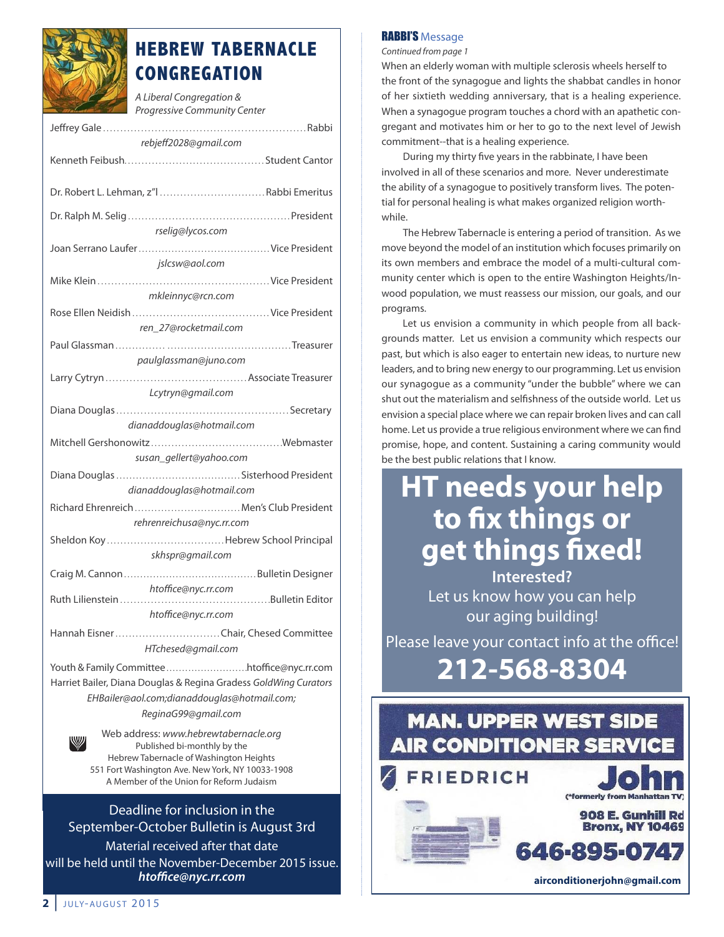

## **HEBREW TABERNACLE CONGREGATION**

A Liberal Congregation & Progressive Community Center

| rebjeff2028@gmail.com                                                  |  |  |  |  |
|------------------------------------------------------------------------|--|--|--|--|
|                                                                        |  |  |  |  |
|                                                                        |  |  |  |  |
| Dr. Robert L. Lehman, z"   Rabbi Emeritus                              |  |  |  |  |
|                                                                        |  |  |  |  |
|                                                                        |  |  |  |  |
| rselig@lycos.com                                                       |  |  |  |  |
|                                                                        |  |  |  |  |
| jslcsw@aol.com                                                         |  |  |  |  |
|                                                                        |  |  |  |  |
| mkleinnyc@rcn.com                                                      |  |  |  |  |
|                                                                        |  |  |  |  |
| ren 27@rocketmail.com                                                  |  |  |  |  |
|                                                                        |  |  |  |  |
| paulglassman@juno.com                                                  |  |  |  |  |
|                                                                        |  |  |  |  |
| Lcytryn@gmail.com                                                      |  |  |  |  |
|                                                                        |  |  |  |  |
| dianaddouglas@hotmail.com                                              |  |  |  |  |
|                                                                        |  |  |  |  |
| susan_gellert@yahoo.com                                                |  |  |  |  |
|                                                                        |  |  |  |  |
| dianaddouglas@hotmail.com                                              |  |  |  |  |
| Richard Ehrenreich  Men's Club President                               |  |  |  |  |
| rehrenreichusa@nyc.rr.com                                              |  |  |  |  |
|                                                                        |  |  |  |  |
| skhspr@gmail.com                                                       |  |  |  |  |
|                                                                        |  |  |  |  |
|                                                                        |  |  |  |  |
| htoffice@nyc.rr.com                                                    |  |  |  |  |
| htoffice@nyc.rr.com                                                    |  |  |  |  |
|                                                                        |  |  |  |  |
| HTchesed@gmail.com                                                     |  |  |  |  |
|                                                                        |  |  |  |  |
| Harriet Bailer, Diana Douglas & Regina Gradess GoldWing Curators       |  |  |  |  |
| EHBailer@aol.com;dianaddouglas@hotmail.com;                            |  |  |  |  |
| ReginaG99@gmail.com                                                    |  |  |  |  |
|                                                                        |  |  |  |  |
| Web address: www.hebrewtabernacle.org<br>W                             |  |  |  |  |
| Published bi-monthly by the<br>Hebrew Tabernacle of Washington Heights |  |  |  |  |

Hebrew tabernacle of Washington Heights 551 Fort Washington Ave. New york, Ny 10033-1908 A Member of the Union for Reform Judaism

### Deadline for inclusion in the september-october Bulletin is August 3rd

Material received after that date will be held until the November-December 2015 issue. *htoffice@nyc.rr.com*

### RABBI'S Message

Continued from page 1

When an elderly woman with multiple sclerosis wheels herself to the front of the synagogue and lights the shabbat candles in honor of her sixtieth wedding anniversary, that is a healing experience. When a synagogue program touches a chord with an apathetic congregant and motivates him or her to go to the next level of Jewish commitment--that is a healing experience.

During my thirty five years in the rabbinate, I have been involved in all of these scenarios and more. Never underestimate the ability of a synagogue to positively transform lives. The potential for personal healing is what makes organized religion worthwhile.

The Hebrew Tabernacle is entering a period of transition. As we move beyond the model of an institution which focuses primarily on its own members and embrace the model of a multi-cultural community center which is open to the entire Washington Heights/Inwood population, we must reassess our mission, our goals, and our programs.

let us envision a community in which people from all backgrounds matter. let us envision a community which respects our past, but which is also eager to entertain new ideas, to nurture new leaders, and to bring new energy to our programming. let us envision our synagogue as a community "under the bubble" where we can shut out the materialism and selfishness of the outside world. let us envision a special place where we can repair broken lives and can call home. let us provide a true religious environment where we can find promise, hope, and content. Sustaining a caring community would be the best public relations that I know.

## **Ht needs your help to fix things or get things fixed! Interested?**

Let us know how you can help our aging building!

Please leave your contact info at the office!

**212-568-8304**

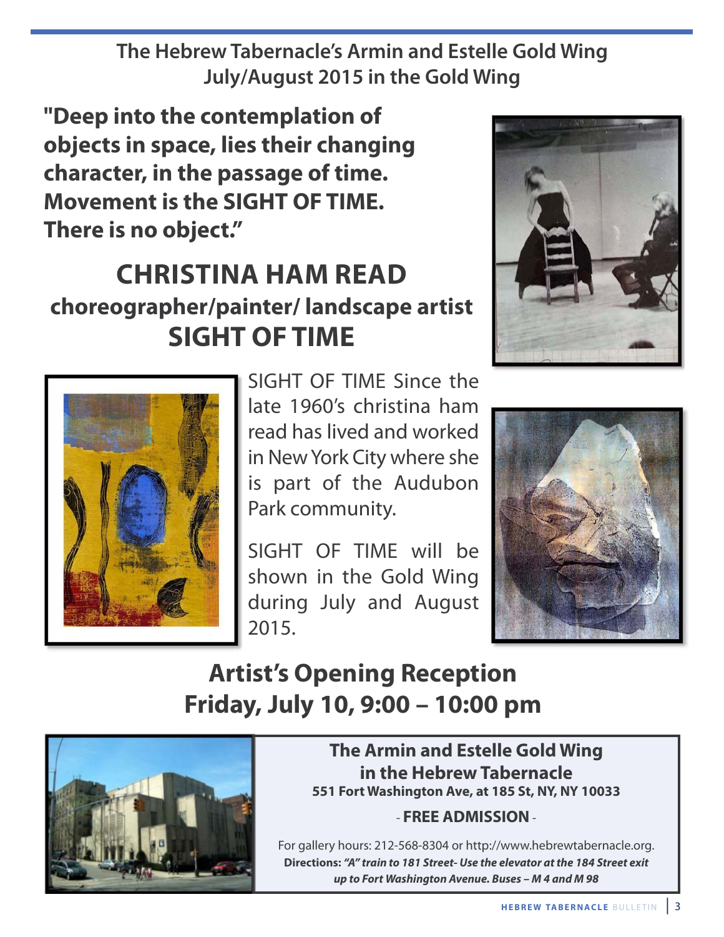**The Hebrew Tabernacle's Armin and Estelle Gold Wing July/August 2015 in the Gold Wing**

**"Deep into the contemplation of objects in space, lies their changing character, in the passage of time. movement is the SIGHt OF tImE. there is no object."**

## **cHrIStIna Ham rEaD choreographer/painter/ landscape artist SIGHt OF tImE**





SIGHT OF TIME Since the late 1960's christina ham read has lived and worked in New york City where she is part of the Audubon Park community.

sIgHt oF tIME will be shown in the Gold Wing during July and August 2015.



## **Artist's Opening Reception Friday, July 10, 9:00 – 10:00 pm**



## **The Armin and Estelle Gold Wing in the Hebrew tabernacle 551 Fort washington ave, at 185 St, nY, nY 10033**

## - **FrEE aDmISSIOn**-

For gallery hours: 212-568-8304 or http://www.hebrewtabernacle.org. **Directions:** *"A" train to 181 Street- Use the elevator at the 184 Street exit up to Fort Washington Avenue. Buses – M 4 and M 98*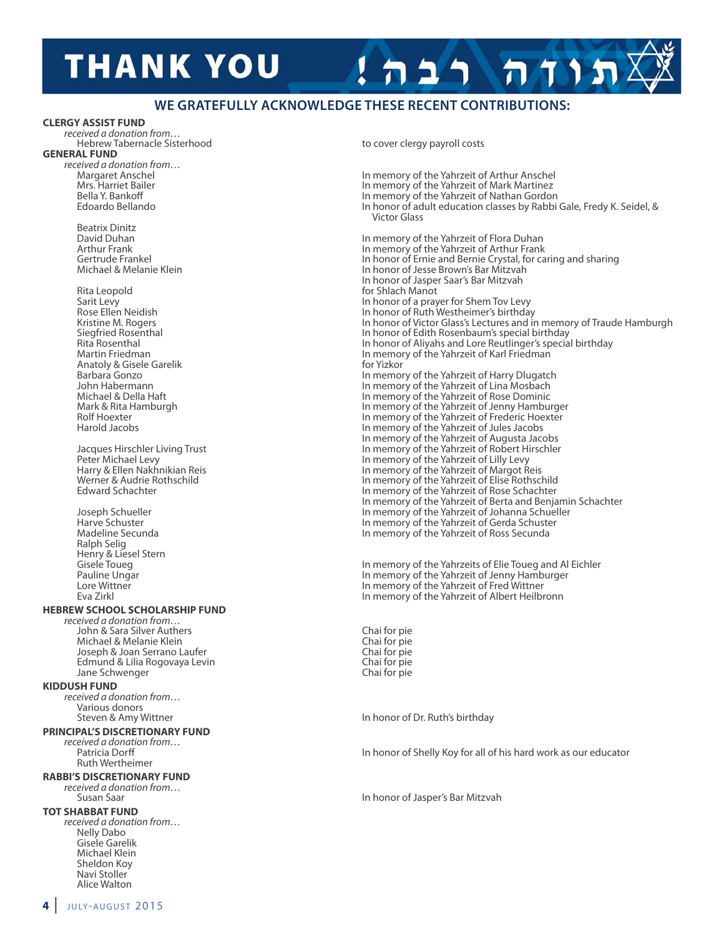## **THANK YOU**

### **WE GRATEFULLY ACKNOWLEDGE THESE RECENT CONTRIBUTIONS:**

#### **clErGY aSSISt FunD**

received a donation from… Hebrew tabernacle sisterhood to cover clergy payroll costs **GEnEral FunD**

received a donation from...<br>Margaret Anschel

Beatrix Dinitz<br>David Duhan

Rita leopold for shlach Manot

Ralph selig Henry & Liesel Stern<br>Gisele Toueg

#### **HEbrEw ScHOOl ScHOlarSHIP FunD**

received a donation from… John & sara silver Authers Chai for pie Michael & Melanie Klein<br>
Joseph & Joan Serrano Laufer<br>
Chai for pie Joseph & Joan Serrano Laufer<br>Edmund & Lilia Roqovaya Levin Chai for pietra Chai for pie Edmund & Lilia Rogovaya Levin Jane schwenger Chai for pie

#### **KIDDuSH FunD**

received a donation from… Various donors<br>Steven & Amy Wittner

#### **PrIncIPal'S DIScrEtIOnarY FunD**

received a donation from… Ruth Wertheimer

#### **rabbI'S DIScrEtIOnarY FunD**

received a donation from...<br>Susan Saar

#### **tOt SHabbat FunD**

received a donation from… Nelly Dabo gisele garelik Michael Klein sheldon Koy Navi stoller Alice Walton

Margaret Anschel **In memory of the Yahrzeit of Arthur Anschel** In memory of the Yahrzeit of Arthur Anschel<br>In memory of the Yahrzeit of Mark Martinez Mrs. Harriet Bailer **In memory of the Yahrzeit of Mark Martinez**<br>In memory of the Yahrzeit of Nathan Gordor<br>In memory of the Yahrzeit of Nathan Gordor Bella y. Bankoff In memory of the yahrzeit of Nathan gordon In honor of adult education classes by Rabbi Gale, Fredy K. Seidel, & Victor glass David Duhan In memory of the yahrzeit of Flora Duhan Arthur Frank In memory of the Yahrzeit of Arthur Frank<br>Gertrude Frankel In honor of Ernie and Bernie Crystal, for ca Gertrude Frankel In honor of Ernie and Bernie Crystal, for caring and sharing<br>In honor of Jesse Brown's Bar Mitzvah In honor of Jesse Brown's Bar Mitzvah In honor of Jasper Saar's Bar Mitzvah Sarit Levy In honor of a prayer for Shem Tov Levy<br>In honor of Ruth Westheimer's birthday Rose Ellen Neidish In honor of Ruth Westheimer's birthday<br>In honor of Victor Glass's Lectures and ir Kristine M. Rogers In honor of Victor Glass's Lectures and in memory of Traude Hamburgh<br>In honor of Edith Rosenbaum's special birthday Siegfried Rosenthal **Superview School In honor of Edith Rosenbaum's special birthday**<br>In honor of Aliyahs and Lore Reutlinger's special birthday Rita Rosenthal In honor of Aliyahs and Lore Reutlinger's special birthday<br>In memory of the Yahrzeit of Karl Friedman Martin Friedman In memory of the Yahrzeit of Karl Friedman<br>In memory of the Yahrzeit of Karl Friedman<br>In Martin Friedman In Martin Martin Martin Shahrzeit of Karl Friedman Barbara Gonzo **Anatoly & gisele garetic for yize and yize analysis of the yahrzeit of Harry Dlugatch** John Habermann In memory of the Yahrzeit of Lina Mosbach<br>In memory of the Yahrzeit of Rose Dominic Michael & Della Haft In memory of the Yahrzeit of Rose Dominic<br>Mark & Rita Hamburgh In memory of the Yahrzeit of Jenny Hambur Mark & Rita Hamburgh **In memory of the Yahrzeit of Jenny Hamburger**<br>In memory of the Yahrzeit of Frederic Hoexter Rolf Hoexter The Communist of the Yahrzeit of Frederic Hoexter<br>In memory of the Yahrzeit of Jules Jacobs<br>In memory of the Yahrzeit of Jules Jacobs In memory of the Yahrzeit of Jules Jacobs In memory of the Yahrzeit of Augusta Jacobs Jacques Hirschler Living Trust **In Memory of the Yahrzeit of Robert Hirschler**<br> **In memory of the Yahrzeit of Lilly Levy**<br>
In memory of the Yahrzeit of Lilly Levy Peter Michael Levy Theory of the Yahrzeit of Lilly Levy<br>In memory of the Yahrzeit of Margot R<br>In memory of the Yahrzeit of Margot R Harry & Ellen Nakhnikian Reis In memory of the yahrzeit of Margot Reis Werner & Audrie Rothschild Verner & Audrie Rothschild In memory of the Yahrzeit of Elise Rothschild<br>In memory of the Yahrzeit of Rose Schachter In memory of the Yahrzeit of Rose Schachter In memory of the Yahrzeit of Berta and Benjamin Schachter Joseph schueller In memory of the yahrzeit of Johanna schueller Harve Schuster In memory of the Yahrzeit of Gerda Schuster<br>Madeline Secunda Madeline Secunda In memory of the Yahrzeit of Ross Secunda

תוחה רב

Gisele Toueg **In memory of the Yahrzeits of Elie Toueg and Al Eichler**<br>In memory of the Yahrzeit of Jenny Hamburger Pauline Ungar **In memory of the Yahrzeit of Jenny Hamburger**<br>
In memory of the Yahrzeit of Jenny Hamburger<br>
In memory of the Yahrzeit of Fred Wittner lore Wittner In memory of the yahrzeit of Fred Wittner In memory of the Yahrzeit of Albert Heilbronn

In honor of Dr. Ruth's birthday

In honor of Shelly Koy for all of his hard work as our educator

In honor of Jasper's Bar Mitzvah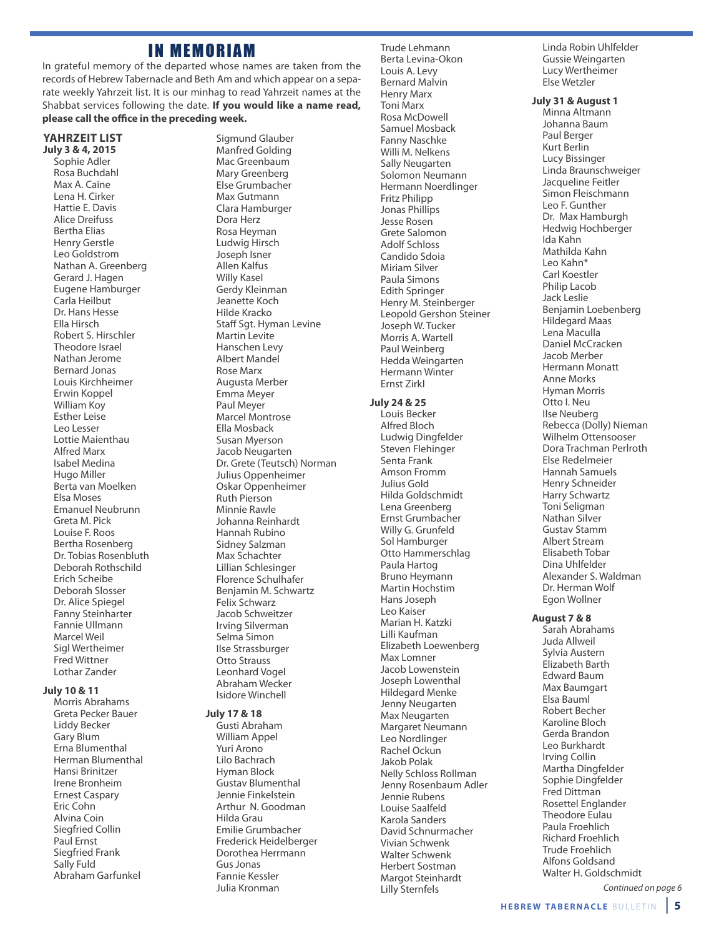## **IN MEMORIAM**

In grateful memory of the departed whose names are taken from the records of Hebrew tabernacle and Beth Am and which appear on a separate weekly Yahrzeit list. It is our minhag to read Yahrzeit names at the shabbat services following the date. **If you would like a name read, please call the office in the preceding week.**

#### **YaHrzEIt lISt July 3 & 4, 2015**

sophie Adler Rosa Buchdahl Max A. Caine lena H. Cirker Hattie E. Davis Alice Dreifuss Bertha Elias Henry gerstle leo goldstrom Nathan A. greenberg Gerard J. Hagen Eugene Hamburger Carla Heilbut Dr. Hans Hesse Ella Hirsch Robert s. Hirschler Theodore Israel Nathan Jerome Bernard Jonas louis Kirchheimer Erwin Koppel William Koy Esther leise leo lesser lottie Maienthau Alfred Marx Isabel Medina Hugo Miller Berta van Moelken Elsa Moses Emanuel Neubrunn greta M. Pick louise F. Roos Bertha Rosenberg Dr. Tobias Rosenbluth Deborah Rothschild Erich scheibe Deborah slosser Dr. Alice spiegel Fanny steinharter Fannie Ullmann Marcel Weil sigl Wertheimer Fred Wittner lothar Zander

#### **July 10 & 11**

Morris Abrahams greta Pecker Bauer liddy Becker gary Blum Erna Blumenthal Herman Blumenthal Hansi Brinitzer Irene Bronheim Ernest Caspary Eric Cohn Alvina Coin siegfried Collin Paul Ernst siegfried Frank sally Fuld Abraham garfunkel

Sigmund Glauber Manfred Golding Mac Greenbaum Mary Greenberg Else grumbacher Max Gutmann Clara Hamburger Dora Herz Rosa Heyman ludwig Hirsch Joseph Isner Allen Kalfus Willy Kasel Gerdy Kleinman Jeanette Koch Hilde Kracko staff sgt. Hyman levine Martin levite Hanschen levy Albert Mandel Rose Marx Augusta Merber Emma Meyer Paul Meyer Marcel Montrose Ella Mosback susan Myerson Jacob Neugarten Dr. Grete (Teutsch) Norman Julius oppenheimer oskar oppenheimer Ruth Pierson Minnie Rawle Johanna Reinhardt Hannah Rubino sidney salzman Max schachter lillian schlesinger Florence schulhafer Benjamin M. schwartz Felix Schwarz Jacob schweitzer Irving silverman selma simon Ilse strassburger **Otto Strauss** leonhard Vogel Abraham Wecker Isidore Winchell

#### **July 17 & 18**

gusti Abraham William Appel yuri Arono lilo Bachrach Hyman Block gustav Blumenthal Jennie Finkelstein Arthur N. goodman Hilda grau Emilie grumbacher Frederick Heidelberger Dorothea Herrmann gus Jonas Fannie Kessler Julia Kronman

Trude Lehmann Berta levina-okon louis A. levy Bernard Malvin Henry Marx **Toni Marx** Rosa McDowell samuel Mosback Fanny Naschke Willi M. Nelkens sally Neugarten solomon Neumann Hermann Noerdlinger Fritz Philipp Jonas Phillips Jesse Rosen Grete Salomon Adolf schloss Candido sdoia Miriam Silver Paula simons Edith springer Henry M. steinberger leopold gershon steiner Joseph W. tucker Morris A. Wartell Paul Weinberg Hedda Weingarten Hermann Winter Ernst Zirkl

#### **July 24 & 25**

louis Becker Alfred Bloch ludwig Dingfelder steven Flehinger senta Frank Amson Fromm Julius Gold Hilda goldschmidt lena greenberg Ernst grumbacher Willy G. Grunfeld sol Hamburger Otto Hammerschlag Paula Hartog Bruno Heymann Martin Hochstim Hans Joseph leo Kaiser Marian H. Katzki lilli Kaufman Elizabeth loewenberg Max lomner Jacob lowenstein Joseph lowenthal Hildegard Menke Jenny Neugarten Max Neugarten Margaret Neumann leo Nordlinger Rachel ockun Jakob Polak Nelly schloss Rollman Jenny Rosenbaum Adler Jennie Rubens louise saalfeld Karola sanders David schnurmacher Vivian schwenk Walter schwenk Herbert sostman Margot Steinhardt lilly sternfels

Linda Robin Uhlfelder Gussie Weingarten lucy Wertheimer Else Wetzler

#### **July 31 & august 1**

Minna Altmann Johanna Baum Paul Berger Kurt Berlin lucy Bissinger linda Braunschweiger Jacqueline Feitler simon Fleischmann leo F. gunther Dr. Max Hamburgh Hedwig Hochberger Ida Kahn Mathilda Kahn leo Kahn\* Carl Koestler Philip lacob Jack leslie Benjamin loebenberg Hildegard Maas lena Maculla Daniel McCracken Jacob Merber Hermann Monatt Anne Morks Hyman Morris otto I. Neu Ilse Neuberg Rebecca (Dolly) Nieman Wilhelm ottensooser Dora Trachman Perlroth Else Redelmeier Hannah samuels Henry schneider Harry schwartz Toni Seligman Nathan silver Gustav Stamm Albert stream Elisabeth Tobar Dina Uhlfelder Alexander s. Waldman Dr. Herman Wolf Egon Wollner

#### **august 7 & 8**

sarah Abrahams Juda Allweil sylvia Austern Elizabeth Barth Edward Baum Max Baumgart Elsa Bauml Robert Becher Karoline Bloch Gerda Brandon leo Burkhardt Irving Collin Martha Dingfelder sophie Dingfelder Fred Dittman Rosettel Englander Theodore Eulau Paula Froehlich Richard Froehlich **Trude Froehlich** Alfons goldsand Walter H. Goldschmidt

Continued on page 6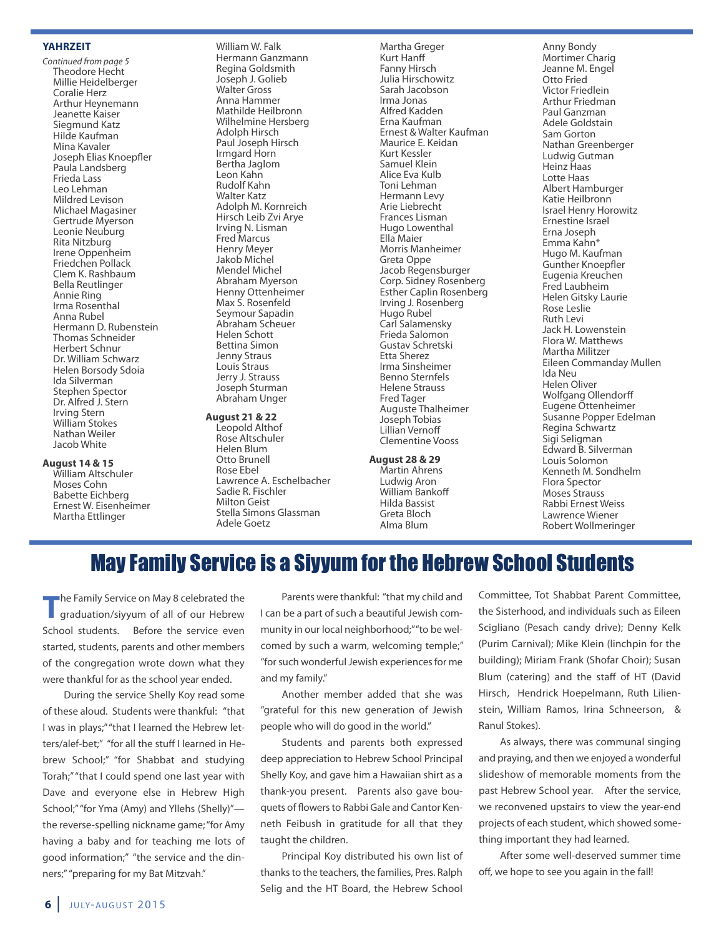#### **YaHrzEIt**

Continued from page 5 Theodore Hecht Millie Heidelberger Coralie Herz Arthur Heynemann Jeanette Kaiser siegmund Katz Hilde Kaufman Mina Kavaler Joseph Elias Knoepfler Paula landsberg Frieda lass leo lehman Mildred levison Michael Magasiner Gertrude Myerson leonie Neuburg Rita Nitzburg Irene oppenheim Friedchen Pollack Clem K. Rashbaum Bella Reutlinger Annie Ring Irma Rosenthal Anna Rubel Hermann D. Rubenstein Thomas Schneider Herbert schnur Dr. William schwarz Helen Borsody sdoia Ida silverman stephen spector Dr. Alfred J. stern Irving Stern William stokes Nathan Weiler Jacob White

### **august 14 & 15**

William Altschuler Moses Cohn Babette Eichberg Ernest W. Eisenheimer Martha Ettlinger

William W. Falk Hermann ganzmann Regina goldsmith Joseph J. Golieb Walter Gross Anna Hammer Mathilde Heilbronn Wilhelmine Hersberg Adolph Hirsch Paul Joseph Hirsch Irmgard Horn Bertha Jaglom leon Kahn Rudolf Kahn Walter Katz Adolph M. Kornreich Hirsch leib Zvi Arye Irving N. lisman Fred Marcus Henry Meyer Jakob Michel Mendel Michel Abraham Myerson Henny Ottenheimer Max S. Rosenfeld Seymour Sapadin Abraham scheuer Helen schott Bettina simon Jenny Straus Louis Straus Jerry J. Strauss Joseph sturman Abraham Unger

#### **august 21 & 22**

leopold Althof Rose Altschuler Helen Blum otto Brunell Rose Ebel lawrence A. Eschelbacher sadie R. Fischler **Milton Geist** stella simons glassman Adele goetz

Martha Greger Kurt Hanff Fanny Hirsch Julia Hirschowitz sarah Jacobson Irma Jonas Alfred Kadden Erna Kaufman Ernest & Walter Kaufman Maurice E. Keidan Kurt Kessler samuel Klein Alice Eva Kulb Toni Lehman Hermann levy Arie liebrecht Frances lisman Hugo lowenthal Ella Maier Morris Manheimer Greta Oppe Jacob Regensburger Corp. sidney Rosenberg Esther Caplin Rosenberg Irving J. Rosenberg Hugo Rubel Carl Salamensky Frieda salomon gustav schretski Etta sherez Irma sinsheimer Benno sternfels Helene strauss Fred Tager Auguste Thalheimer Joseph Tobias lillian Vernoff Clementine Vooss

#### **august 28 & 29**

Martin Ahrens ludwig Aron William Bankoff Hilda Bassist greta Bloch Alma Blum

Anny Bondy Mortimer Charig Jeanne M. Engel otto Fried Victor Friedlein Arthur Friedman Paul Ganzman Adele goldstain sam gorton Nathan greenberger Ludwig Gutman Heinz Haas lotte Haas Albert Hamburger Katie Heilbronn Israel Henry Horowitz Ernestine Israel Erna Joseph Emma Kahn\* Hugo M. Kaufman gunther Knoepfler Eugenia Kreuchen Fred laubheim Helen Gitsky Laurie Rose leslie Ruth levi Jack H. lowenstein Flora W. Matthews Martha Militzer Eileen Commanday Mullen Ida Neu Helen oliver Wolfgang ollendorff Eugene ottenheimer susanne Popper Edelman Regina schwartz sigi seligman Edward B. silverman Louis Solomon Kenneth M. sondhelm Flora spector **Moses Strauss** Rabbi Ernest Weiss lawrence Wiener Robert Wollmeringer

## May Family Service is a Siyyum for the Hebrew School Students

**the Family Service on May 8 celebrated the graduation/siyyum of all of our Hebrew** school students. Before the service even started, students, parents and other members of the congregation wrote down what they were thankful for as the school year ended.

During the service shelly Koy read some of these aloud. students were thankful: "that I was in plays;" "that I learned the Hebrew letters/alef-bet;" "for all the stuff I learned in Hebrew school;" "for shabbat and studying Torah;" "that I could spend one last year with Dave and everyone else in Hebrew High School;" "for Yma (Amy) and Yllehs (Shelly)"the reverse-spelling nickname game; "for Amy having a baby and for teaching me lots of good information;" "the service and the dinners;" "preparing for my Bat Mitzvah."

Parents were thankful: "that my child and I can be a part of such a beautiful Jewish community in our local neighborhood;"" to be welcomed by such a warm, welcoming temple;" "for such wonderful Jewish experiences for me and my family."

Another member added that she was "grateful for this new generation of Jewish people who will do good in the world."

students and parents both expressed deep appreciation to Hebrew School Principal shelly Koy, and gave him a Hawaiian shirt as a thank-you present. Parents also gave bouquets of flowers to Rabbi gale and Cantor Kenneth Feibush in gratitude for all that they taught the children.

Principal Koy distributed his own list of thanks to the teachers, the families, Pres. Ralph Selig and the HT Board, the Hebrew School

Committee, Tot Shabbat Parent Committee, the sisterhood, and individuals such as Eileen scigliano (Pesach candy drive); Denny Kelk (Purim Carnival); Mike Klein (linchpin for the building); Miriam Frank (Shofar Choir); Susan Blum (catering) and the staff of HT (David Hirsch, Hendrick Hoepelmann, Ruth lilienstein, William Ramos, Irina Schneerson, & Ranul Stokes).

As always, there was communal singing and praying, and then we enjoyed a wonderful slideshow of memorable moments from the past Hebrew school year. After the service, we reconvened upstairs to view the year-end projects of each student, which showed something important they had learned.

After some well-deserved summer time off, we hope to see you again in the fall!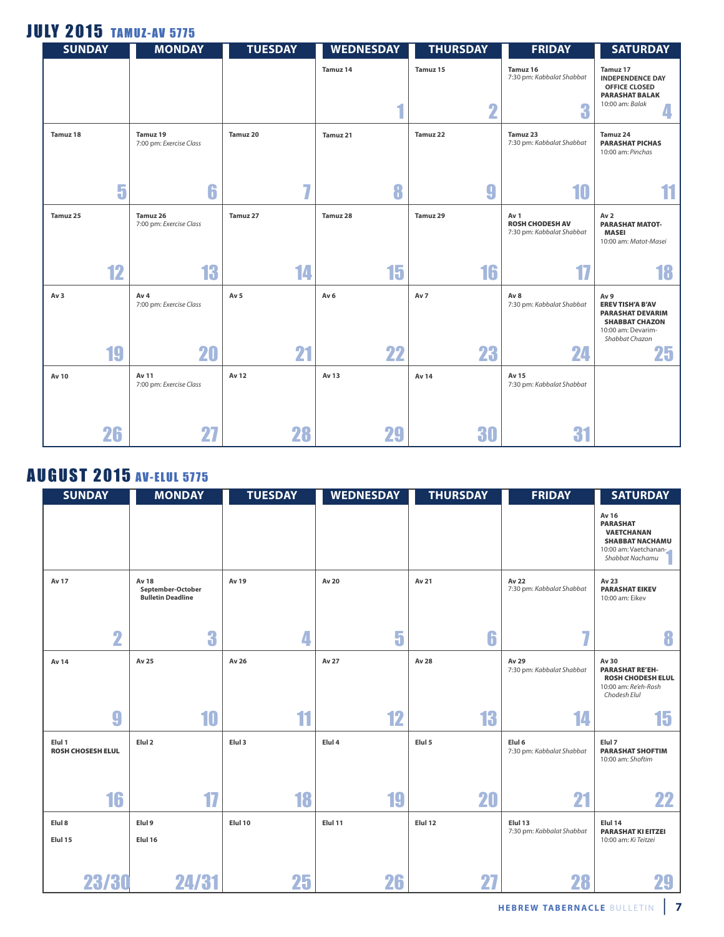## **JULY 2015 TAMUZ-AV 5775**

| <b>SUNDAY</b>   |    | <b>MONDAY</b>                              | <b>TUESDAY</b>  | <b>WEDNESDAY</b> | <b>THURSDAY</b>       | <b>FRIDAY</b>                                               | <b>SATURDAY</b>                                                                                                                        |
|-----------------|----|--------------------------------------------|-----------------|------------------|-----------------------|-------------------------------------------------------------|----------------------------------------------------------------------------------------------------------------------------------------|
|                 |    |                                            |                 | Tamuz 14<br>4    | Tamuz 15<br>$\bullet$ | Tamuz 16<br>7:30 pm: Kabbalat Shabbat                       | Tamuz 17<br><b>INDEPENDENCE DAY</b><br>OFFICE CLOSED<br><b>PARASHAT BALAK</b><br>10:00 am: Balak                                       |
|                 |    |                                            |                 |                  |                       | 3                                                           |                                                                                                                                        |
| Tamuz 18        |    | Tamuz 19<br>7:00 pm: Exercise Class        | Tamuz 20        | Tamuz 21         | Tamuz 22              | Tamuz 23<br>7:30 pm: Kabbalat Shabbat                       | Tamuz 24<br><b>PARASHAT PICHAS</b><br>10:00 am: Pinchas                                                                                |
|                 |    |                                            |                 |                  |                       |                                                             |                                                                                                                                        |
|                 | 5  | 6                                          | $\overline{I}$  | 8                | g                     | 10                                                          |                                                                                                                                        |
| Tamuz 25        |    | Tamuz 26<br>7:00 pm: Exercise Class        | Tamuz 27        | Tamuz 28         | Tamuz 29              | Av 1<br><b>ROSH CHODESH AV</b><br>7:30 pm: Kabbalat Shabbat | Av <sub>2</sub><br><b>PARASHAT MATOT-</b><br><b>MASEI</b><br>10:00 am: Matot-Masei                                                     |
|                 | 12 | 13                                         | 14              | 15               | 16                    |                                                             | 18                                                                                                                                     |
| Av <sub>3</sub> |    | Av <sub>4</sub><br>7:00 pm: Exercise Class | Av <sub>5</sub> | Av <sub>6</sub>  | Av 7                  | Av 8<br>7:30 pm: Kabbalat Shabbat                           | Av <sub>9</sub><br><b>EREV TISH'A B'AV</b><br><b>PARASHAT DEVARIM</b><br><b>SHABBAT CHAZON</b><br>10:00 am: Devarim-<br>Shabbat Chazon |
|                 | 19 | 20                                         | 21              | 22               | 23                    | 24                                                          | 25                                                                                                                                     |
| Av 10           |    | Av 11<br>7:00 pm: Exercise Class           | Av 12           | Av 13            | Av 14                 | Av 15<br>7:30 pm: Kabbalat Shabbat                          |                                                                                                                                        |
|                 | 26 | 27                                         | 28              | 29               | 30                    | 31                                                          |                                                                                                                                        |

## **AUGUST 2015 AV-ELUL 5775**

| <b>SUNDAY</b>                      | <b>MONDAY</b>                                                 | <b>TUESDAY</b> | <b>WEDNESDAY</b> | <b>THURSDAY</b> | <b>FRIDAY</b>                        | <b>SATURDAY</b>                                                                                                     |
|------------------------------------|---------------------------------------------------------------|----------------|------------------|-----------------|--------------------------------------|---------------------------------------------------------------------------------------------------------------------|
|                                    |                                                               |                |                  |                 |                                      | Av 16<br><b>PARASHAT</b><br><b>VAETCHANAN</b><br><b>SHABBAT NACHAMU</b><br>10:00 am: Vaetchanan-<br>Shabbat Nachamu |
| Av 17                              | <b>Av 18</b><br>September-October<br><b>Bulletin Deadline</b> | Av 19          | Av 20            | Av 21           | Av 22<br>7:30 pm: Kabbalat Shabbat   | Av 23<br><b>PARASHAT EIKEV</b><br>10:00 am: Eikev                                                                   |
| $\overline{\mathbf{2}}$            | 3                                                             | 4              | 5                | 6               | 7                                    |                                                                                                                     |
| Av 14                              | Av 25                                                         | Av 26          | Av 27            | Av 28           | Av 29<br>7:30 pm: Kabbalat Shabbat   | Av 30<br><b>PARASHAT RE'EH-</b><br><b>ROSH CHODESH ELUL</b><br>10:00 am: Re'eh-Rosh<br>Chodesh Elul                 |
| 9                                  | 10                                                            | 11             | 12               | 13              | 14                                   | 15                                                                                                                  |
| Elul 1<br><b>ROSH CHOSESH ELUL</b> | Elul <sub>2</sub>                                             | Elul 3         | Elul 4           | Elul 5          | Elul 6<br>7:30 pm: Kabbalat Shabbat  | Elul 7<br><b>PARASHAT SHOFTIM</b><br>10:00 am: Shoftim                                                              |
| 16                                 | 17                                                            | 18             | 19               | 20              | 21                                   | 22                                                                                                                  |
| Elul 8<br>Elul 15                  | Elul 9<br>Elul 16                                             | Elul 10        | Elul 11          | Elul 12         | Elul 13<br>7:30 pm: Kabbalat Shabbat | Elul 14<br><b>PARASHAT KI EITZEI</b><br>10:00 am: Ki Teitzei                                                        |
| 23/30                              | 24/31                                                         | 25             | 26               |                 | 28                                   | <b>ZY</b>                                                                                                           |